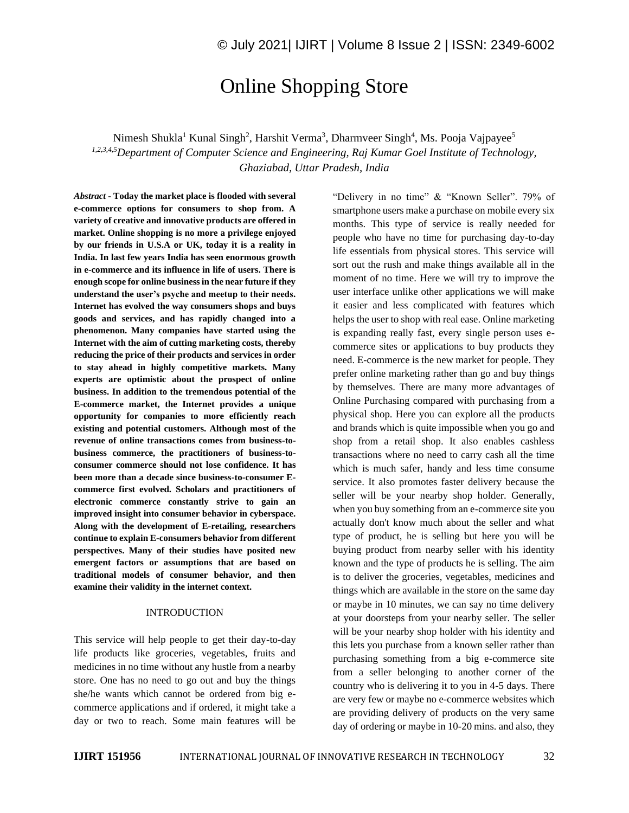# Online Shopping Store

Nimesh Shukla<sup>1</sup> Kunal Singh<sup>2</sup>, Harshit Verma<sup>3</sup>, Dharmveer Singh<sup>4</sup>, Ms. Pooja Vajpayee<sup>5</sup> *1,2,3,4,5Department of Computer Science and Engineering, Raj Kumar Goel Institute of Technology, Ghaziabad, Uttar Pradesh, India*

*Abstract -* **Today the market place is flooded with several e-commerce options for consumers to shop from. A variety of creative and innovative products are offered in market. Online shopping is no more a privilege enjoyed by our friends in U.S.A or UK, today it is a reality in India. In last few years India has seen enormous growth in e-commerce and its influence in life of users. There is enough scope for online business in the near future if they understand the user's psyche and meetup to their needs. Internet has evolved the way consumers shops and buys goods and services, and has rapidly changed into a phenomenon. Many companies have started using the Internet with the aim of cutting marketing costs, thereby reducing the price of their products and services in order to stay ahead in highly competitive markets. Many experts are optimistic about the prospect of online business. In addition to the tremendous potential of the E-commerce market, the Internet provides a unique opportunity for companies to more efficiently reach existing and potential customers. Although most of the revenue of online transactions comes from business-tobusiness commerce, the practitioners of business-toconsumer commerce should not lose confidence. It has been more than a decade since business-to-consumer Ecommerce first evolved. Scholars and practitioners of electronic commerce constantly strive to gain an improved insight into consumer behavior in cyberspace. Along with the development of E-retailing, researchers continue to explain E-consumers behavior from different perspectives. Many of their studies have posited new emergent factors or assumptions that are based on traditional models of consumer behavior, and then examine their validity in the internet context.** 

#### INTRODUCTION

This service will help people to get their day-to-day life products like groceries, vegetables, fruits and medicines in no time without any hustle from a nearby store. One has no need to go out and buy the things she/he wants which cannot be ordered from big ecommerce applications and if ordered, it might take a day or two to reach. Some main features will be "Delivery in no time" & "Known Seller". 79% of smartphone users make a purchase on mobile every six months. This type of service is really needed for people who have no time for purchasing day-to-day life essentials from physical stores. This service will sort out the rush and make things available all in the moment of no time. Here we will try to improve the user interface unlike other applications we will make it easier and less complicated with features which helps the user to shop with real ease. Online marketing is expanding really fast, every single person uses ecommerce sites or applications to buy products they need. E-commerce is the new market for people. They prefer online marketing rather than go and buy things by themselves. There are many more advantages of Online Purchasing compared with purchasing from a physical shop. Here you can explore all the products and brands which is quite impossible when you go and shop from a retail shop. It also enables cashless transactions where no need to carry cash all the time which is much safer, handy and less time consume service. It also promotes faster delivery because the seller will be your nearby shop holder. Generally, when you buy something from an e-commerce site you actually don't know much about the seller and what type of product, he is selling but here you will be buying product from nearby seller with his identity known and the type of products he is selling. The aim is to deliver the groceries, vegetables, medicines and things which are available in the store on the same day or maybe in 10 minutes, we can say no time delivery at your doorsteps from your nearby seller. The seller will be your nearby shop holder with his identity and this lets you purchase from a known seller rather than purchasing something from a big e-commerce site from a seller belonging to another corner of the country who is delivering it to you in 4-5 days. There are very few or maybe no e-commerce websites which are providing delivery of products on the very same day of ordering or maybe in 10-20 mins. and also, they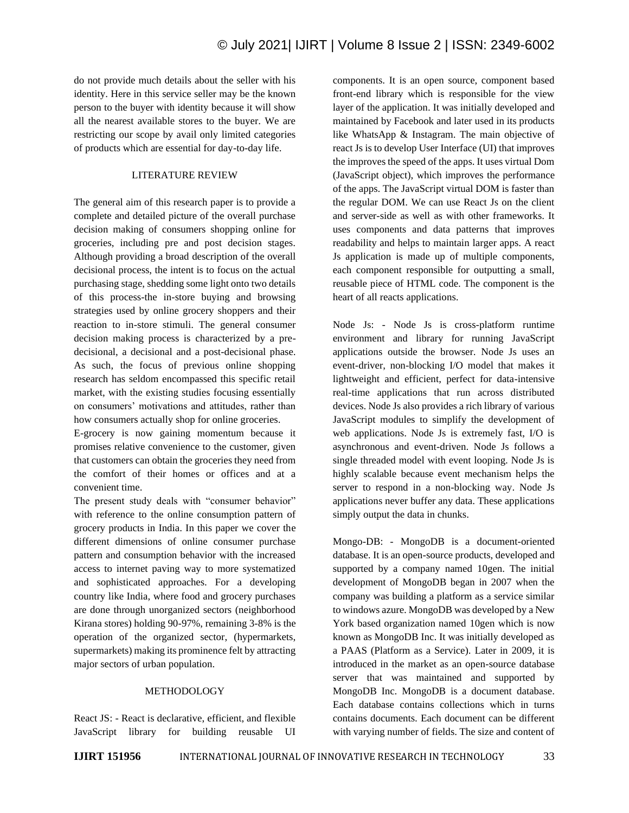do not provide much details about the seller with his identity. Here in this service seller may be the known person to the buyer with identity because it will show all the nearest available stores to the buyer. We are restricting our scope by avail only limited categories of products which are essential for day-to-day life.

## LITERATURE REVIEW

The general aim of this research paper is to provide a complete and detailed picture of the overall purchase decision making of consumers shopping online for groceries, including pre and post decision stages. Although providing a broad description of the overall decisional process, the intent is to focus on the actual purchasing stage, shedding some light onto two details of this process-the in-store buying and browsing strategies used by online grocery shoppers and their reaction to in-store stimuli. The general consumer decision making process is characterized by a predecisional, a decisional and a post-decisional phase. As such, the focus of previous online shopping research has seldom encompassed this specific retail market, with the existing studies focusing essentially on consumers' motivations and attitudes, rather than how consumers actually shop for online groceries.

E-grocery is now gaining momentum because it promises relative convenience to the customer, given that customers can obtain the groceries they need from the comfort of their homes or offices and at a convenient time.

The present study deals with "consumer behavior" with reference to the online consumption pattern of grocery products in India. In this paper we cover the different dimensions of online consumer purchase pattern and consumption behavior with the increased access to internet paving way to more systematized and sophisticated approaches. For a developing country like India, where food and grocery purchases are done through unorganized sectors (neighborhood Kirana stores) holding 90-97%, remaining 3-8% is the operation of the organized sector, (hypermarkets, supermarkets) making its prominence felt by attracting major sectors of urban population.

#### METHODOLOGY

React JS: - React is declarative, efficient, and flexible JavaScript library for building reusable UI

components. It is an open source, component based front-end library which is responsible for the view layer of the application. It was initially developed and maintained by Facebook and later used in its products like WhatsApp & Instagram. The main objective of react Js is to develop User Interface (UI) that improves the improves the speed of the apps. It uses virtual Dom (JavaScript object), which improves the performance of the apps. The JavaScript virtual DOM is faster than the regular DOM. We can use React Js on the client and server-side as well as with other frameworks. It uses components and data patterns that improves readability and helps to maintain larger apps. A react Js application is made up of multiple components, each component responsible for outputting a small, reusable piece of HTML code. The component is the heart of all reacts applications.

Node Js: - Node Js is cross-platform runtime environment and library for running JavaScript applications outside the browser. Node Js uses an event-driver, non-blocking I/O model that makes it lightweight and efficient, perfect for data-intensive real-time applications that run across distributed devices. Node Js also provides a rich library of various JavaScript modules to simplify the development of web applications. Node Js is extremely fast, I/O is asynchronous and event-driven. Node Js follows a single threaded model with event looping. Node Js is highly scalable because event mechanism helps the server to respond in a non-blocking way. Node Js applications never buffer any data. These applications simply output the data in chunks.

Mongo-DB: - MongoDB is a document-oriented database. It is an open-source products, developed and supported by a company named 10gen. The initial development of MongoDB began in 2007 when the company was building a platform as a service similar to windows azure. MongoDB was developed by a New York based organization named 10gen which is now known as MongoDB Inc. It was initially developed as a PAAS (Platform as a Service). Later in 2009, it is introduced in the market as an open-source database server that was maintained and supported by MongoDB Inc. MongoDB is a document database. Each database contains collections which in turns contains documents. Each document can be different with varying number of fields. The size and content of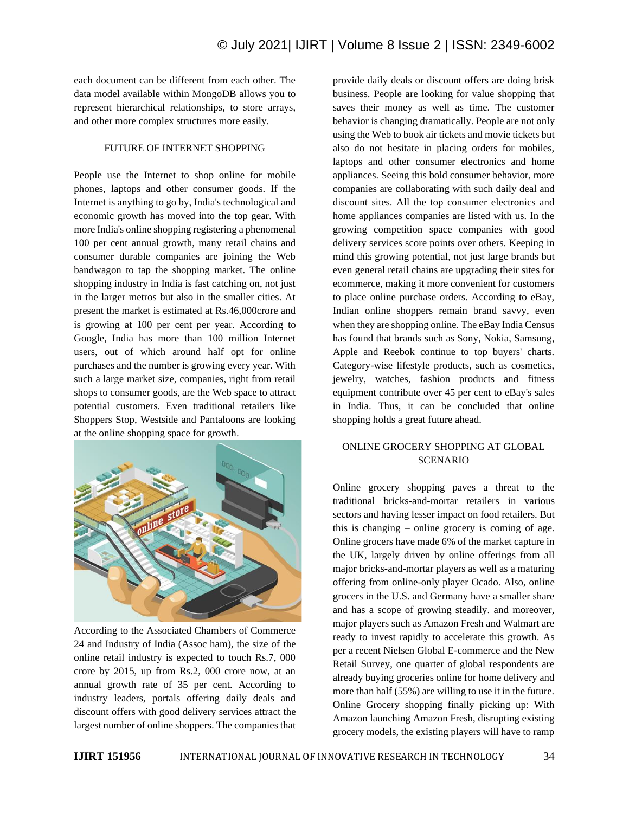each document can be different from each other. The data model available within MongoDB allows you to represent hierarchical relationships, to store arrays, and other more complex structures more easily.

#### FUTURE OF INTERNET SHOPPING

People use the Internet to shop online for mobile phones, laptops and other consumer goods. If the Internet is anything to go by, India's technological and economic growth has moved into the top gear. With more India's online shopping registering a phenomenal 100 per cent annual growth, many retail chains and consumer durable companies are joining the Web bandwagon to tap the shopping market. The online shopping industry in India is fast catching on, not just in the larger metros but also in the smaller cities. At present the market is estimated at Rs.46,000crore and is growing at 100 per cent per year. According to Google, India has more than 100 million Internet users, out of which around half opt for online purchases and the number is growing every year. With such a large market size, companies, right from retail shops to consumer goods, are the Web space to attract potential customers. Even traditional retailers like Shoppers Stop, Westside and Pantaloons are looking at the online shopping space for growth.



According to the Associated Chambers of Commerce 24 and Industry of India (Assoc ham), the size of the online retail industry is expected to touch Rs.7, 000 crore by 2015, up from Rs.2, 000 crore now, at an annual growth rate of 35 per cent. According to industry leaders, portals offering daily deals and discount offers with good delivery services attract the largest number of online shoppers. The companies that

provide daily deals or discount offers are doing brisk business. People are looking for value shopping that saves their money as well as time. The customer behavior is changing dramatically. People are not only using the Web to book air tickets and movie tickets but also do not hesitate in placing orders for mobiles, laptops and other consumer electronics and home appliances. Seeing this bold consumer behavior, more companies are collaborating with such daily deal and discount sites. All the top consumer electronics and home appliances companies are listed with us. In the growing competition space companies with good delivery services score points over others. Keeping in mind this growing potential, not just large brands but even general retail chains are upgrading their sites for ecommerce, making it more convenient for customers to place online purchase orders. According to eBay, Indian online shoppers remain brand savvy, even when they are shopping online. The eBay India Census has found that brands such as Sony, Nokia, Samsung, Apple and Reebok continue to top buyers' charts. Category-wise lifestyle products, such as cosmetics, jewelry, watches, fashion products and fitness equipment contribute over 45 per cent to eBay's sales in India. Thus, it can be concluded that online shopping holds a great future ahead.

# ONLINE GROCERY SHOPPING AT GLOBAL SCENARIO

Online grocery shopping paves a threat to the traditional bricks-and-mortar retailers in various sectors and having lesser impact on food retailers. But this is changing – online grocery is coming of age. Online grocers have made 6% of the market capture in the UK, largely driven by online offerings from all major bricks-and-mortar players as well as a maturing offering from online-only player Ocado. Also, online grocers in the U.S. and Germany have a smaller share and has a scope of growing steadily. and moreover, major players such as Amazon Fresh and Walmart are ready to invest rapidly to accelerate this growth. As per a recent Nielsen Global E-commerce and the New Retail Survey, one quarter of global respondents are already buying groceries online for home delivery and more than half (55%) are willing to use it in the future. Online Grocery shopping finally picking up: With Amazon launching Amazon Fresh, disrupting existing grocery models, the existing players will have to ramp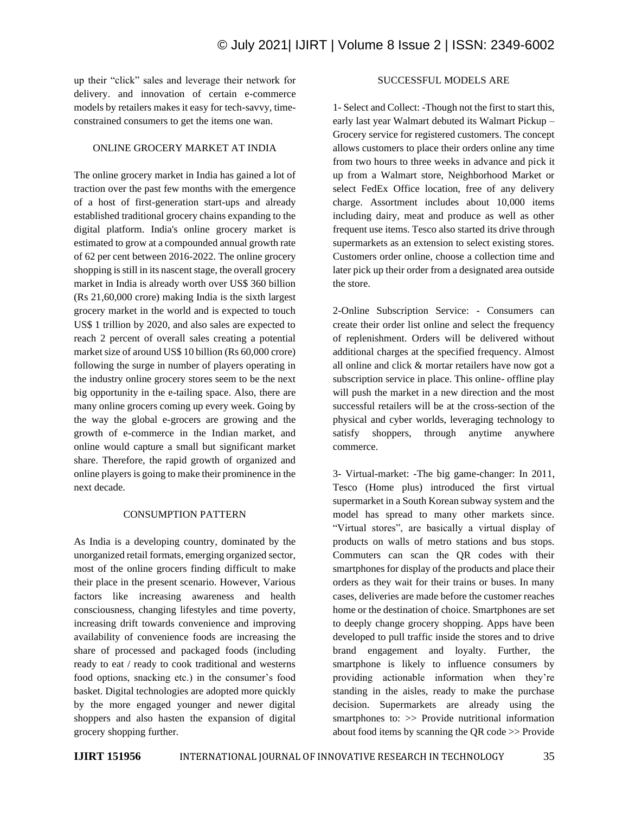up their "click" sales and leverage their network for delivery. and innovation of certain e-commerce models by retailers makes it easy for tech-savvy, timeconstrained consumers to get the items one wan.

# ONLINE GROCERY MARKET AT INDIA

The online grocery market in India has gained a lot of traction over the past few months with the emergence of a host of first-generation start-ups and already established traditional grocery chains expanding to the digital platform. India's online grocery market is estimated to grow at a compounded annual growth rate of 62 per cent between 2016-2022. The online grocery shopping is still in its nascent stage, the overall grocery market in India is already worth over US\$ 360 billion (Rs 21,60,000 crore) making India is the sixth largest grocery market in the world and is expected to touch US\$ 1 trillion by 2020, and also sales are expected to reach 2 percent of overall sales creating a potential market size of around US\$ 10 billion (Rs 60,000 crore) following the surge in number of players operating in the industry online grocery stores seem to be the next big opportunity in the e-tailing space. Also, there are many online grocers coming up every week. Going by the way the global e-grocers are growing and the growth of e-commerce in the Indian market, and online would capture a small but significant market share. Therefore, the rapid growth of organized and online players is going to make their prominence in the next decade.

# CONSUMPTION PATTERN

As India is a developing country, dominated by the unorganized retail formats, emerging organized sector, most of the online grocers finding difficult to make their place in the present scenario. However, Various factors like increasing awareness and health consciousness, changing lifestyles and time poverty, increasing drift towards convenience and improving availability of convenience foods are increasing the share of processed and packaged foods (including ready to eat / ready to cook traditional and westerns food options, snacking etc.) in the consumer's food basket. Digital technologies are adopted more quickly by the more engaged younger and newer digital shoppers and also hasten the expansion of digital grocery shopping further.

## SUCCESSFUL MODELS ARE

1- Select and Collect: -Though not the first to start this, early last year Walmart debuted its Walmart Pickup – Grocery service for registered customers. The concept allows customers to place their orders online any time from two hours to three weeks in advance and pick it up from a Walmart store, Neighborhood Market or select FedEx Office location, free of any delivery charge. Assortment includes about 10,000 items including dairy, meat and produce as well as other frequent use items. Tesco also started its drive through supermarkets as an extension to select existing stores. Customers order online, choose a collection time and later pick up their order from a designated area outside the store.

2-Online Subscription Service: - Consumers can create their order list online and select the frequency of replenishment. Orders will be delivered without additional charges at the specified frequency. Almost all online and click & mortar retailers have now got a subscription service in place. This online- offline play will push the market in a new direction and the most successful retailers will be at the cross-section of the physical and cyber worlds, leveraging technology to satisfy shoppers, through anytime anywhere commerce.

3- Virtual-market: -The big game-changer: In 2011, Tesco (Home plus) introduced the first virtual supermarket in a South Korean subway system and the model has spread to many other markets since. "Virtual stores", are basically a virtual display of products on walls of metro stations and bus stops. Commuters can scan the QR codes with their smartphones for display of the products and place their orders as they wait for their trains or buses. In many cases, deliveries are made before the customer reaches home or the destination of choice. Smartphones are set to deeply change grocery shopping. Apps have been developed to pull traffic inside the stores and to drive brand engagement and loyalty. Further, the smartphone is likely to influence consumers by providing actionable information when they're standing in the aisles, ready to make the purchase decision. Supermarkets are already using the smartphones to: >> Provide nutritional information about food items by scanning the QR code >> Provide

**IJIRT 151956** INTERNATIONAL JOURNAL OF INNOVATIVE RESEARCH IN TECHNOLOGY 35